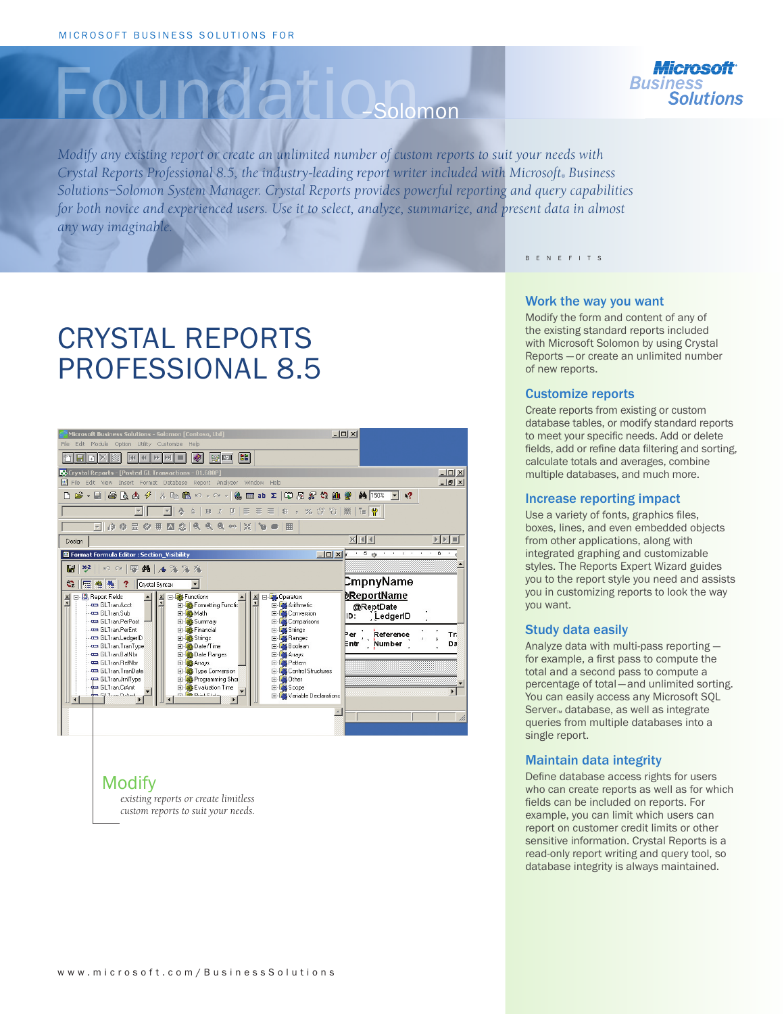# Foundatio



*Modify any existing report or create an unlimited number of custom reports to suit your needs with Crystal Reports Professional 8.5, the industry-leading report writer included with Microsoft® Business Solutions–Solomon System Manager. Crystal Reports provides powerful reporting and query capabilities for both novice and experienced users. Use it to select, analyze, summarize, and present data in almost any way imaginable.*

#### B E N E F I T S

## CRYSTAL REPORTS PROFESSIONAL 8.5



Work the way you want

Modify the form and content of any of the existing standard reports included with Microsoft Solomon by using Crystal Reports — or create an unlimited number of new reports.

#### Customize reports

Create reports from existing or custom database tables, or modify standard reports to meet your specific needs. Add or delete fields, add or refine data filtering and sorting, calculate totals and averages, combine multiple databases, and much more.

#### Increase reporting impact

Use a variety of fonts, graphics files, boxes, lines, and even embedded objects from other applications, along with integrated graphing and customizable styles. The Reports Expert Wizard guides you to the report style you need and assists you in customizing reports to look the way you want.

#### Study data easily

Analyze data with multi-pass reporting for example, a first pass to compute the total and a second pass to compute a percentage of total — and unlimited sorting. You can easily access any Microsoft SQL Server<sub>™</sub> database, as well as integrate queries from multiple databases into a single report.

#### Maintain data integrity

Define database access rights for users who can create reports as well as for which fields can be included on reports. For example, you can limit which users can report on customer credit limits or other sensitive information. Crystal Reports is a read-only report writing and query tool, so database integrity is always maintained.

*custom reports to suit your needs.*